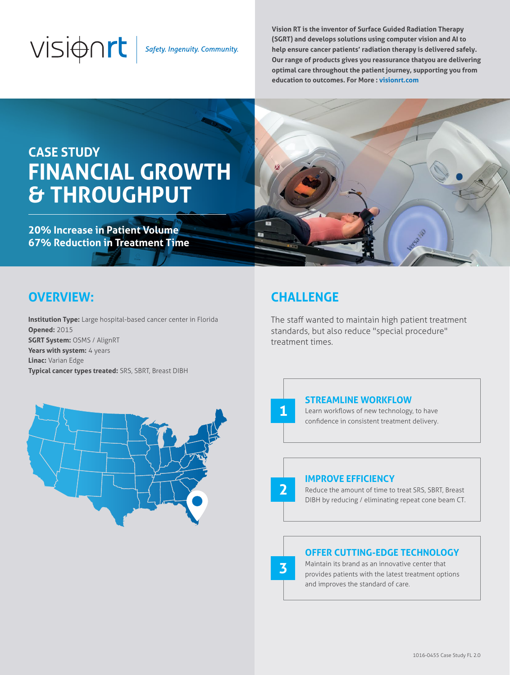# $V\overline{\mathsf{S}}\overline{\mathsf{I}}$   $\oplus$   $\cap$   $\mathsf{r}\mathsf{t}$  safety. Ingenuity. Community.

**Vision RT is the inventor of Surface Guided Radiation Therapy (SGRT) and develops solutions using computer vision and AI to help ensure cancer patients' radiation therapy is delivered safely. Our range of products gives you reassurance thatyou are delivering optimal care throughout the patient journey, supporting you from education to outcomes. For More : visionrt.com**

## **CASE STUDY FINANCIAL GROWTH & THROUGHPUT**

**20% Increase in Patient Volume 67% Reduction in Treatment Time**



## **OVERVIEW:**

**Institution Type:** Large hospital-based cancer center in Florida **Opened:** 2015 **SGRT System:** OSMS / AlignRT **Years with system:** 4 years **Linac:** Varian Edge **Typical cancer types treated:** SRS, SBRT, Breast DIBH



**1**

**2**

**3**

The staff wanted to maintain high patient treatment standards, but also reduce "special procedure" treatment times.



#### **STREAMLINE WORKFLOW**

Learn workflows of new technology, to have confidence in consistent treatment delivery.

### **IMPROVE EFFICIENCY**

Reduce the amount of time to treat SRS, SBRT, Breast DIBH by reducing / eliminating repeat cone beam CT.

#### **OFFER CUTTING-EDGE TECHNOLOGY**

Maintain its brand as an innovative center that provides patients with the latest treatment options and improves the standard of care.